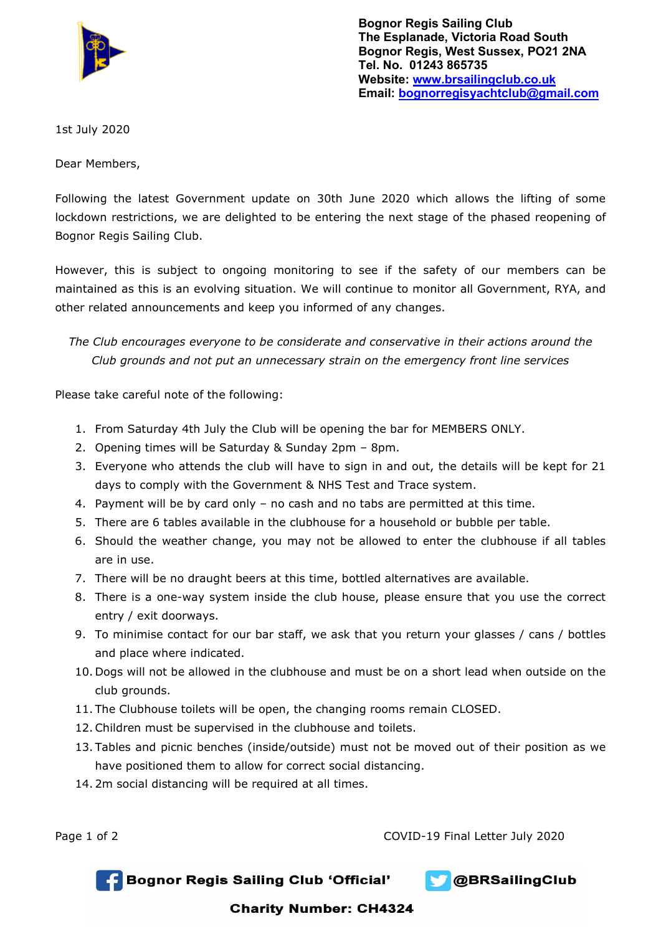

**Bognor Regis Sailing Club The Esplanade, Victoria Road South Bognor Regis, West Sussex, PO21 2NA Tel. No. 01243 865735 Website: [www.brsailingclub.co.uk](http://www.brsailingclub.co.uk/) Email: [bognorregisyachtclub@gmail.com](mailto:bognorregisyachtclub@gmail.com)**

1st July 2020

Dear Members,

Following the latest Government update on 30th June 2020 which allows the lifting of some lockdown restrictions, we are delighted to be entering the next stage of the phased reopening of Bognor Regis Sailing Club.

However, this is subject to ongoing monitoring to see if the safety of our members can be maintained as this is an evolving situation. We will continue to monitor all Government, RYA, and other related announcements and keep you informed of any changes.

*The Club encourages everyone to be considerate and conservative in their actions around the Club grounds and not put an unnecessary strain on the emergency front line services*

Please take careful note of the following:

- 1. From Saturday 4th July the Club will be opening the bar for MEMBERS ONLY.
- 2. Opening times will be Saturday & Sunday 2pm 8pm.
- 3. Everyone who attends the club will have to sign in and out, the details will be kept for 21 days to comply with the Government & NHS Test and Trace system.
- 4. Payment will be by card only no cash and no tabs are permitted at this time.
- 5. There are 6 tables available in the clubhouse for a household or bubble per table.
- 6. Should the weather change, you may not be allowed to enter the clubhouse if all tables are in use.
- 7. There will be no draught beers at this time, bottled alternatives are available.
- 8. There is a one-way system inside the club house, please ensure that you use the correct entry / exit doorways.
- 9. To minimise contact for our bar staff, we ask that you return your glasses / cans / bottles and place where indicated.
- 10. Dogs will not be allowed in the clubhouse and must be on a short lead when outside on the club grounds.
- 11. The Clubhouse toilets will be open, the changing rooms remain CLOSED.
- 12.Children must be supervised in the clubhouse and toilets.
- 13. Tables and picnic benches (inside/outside) must not be moved out of their position as we have positioned them to allow for correct social distancing.
- 14. 2m social distancing will be required at all times.

Page 1 of 2 COVID-19 Final Letter July 2020





## **Charity Number: CH4324**